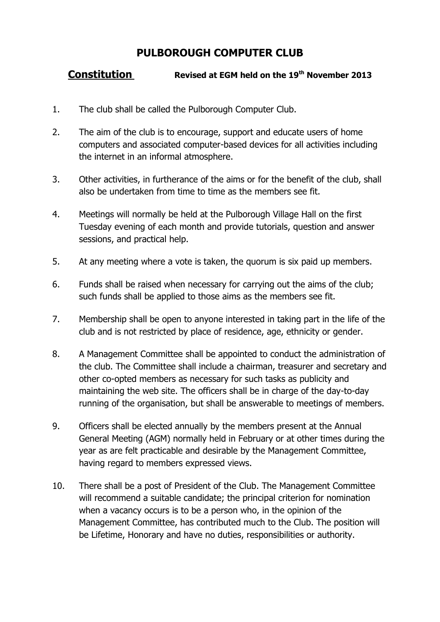## **PULBOROUGH COMPUTER CLUB**

## **Constitution Revised at EGM held on the 19th November 2013**

- 1. The club shall be called the Pulborough Computer Club.
- 2. The aim of the club is to encourage, support and educate users of home computers and associated computer-based devices for all activities including the internet in an informal atmosphere.
- 3. Other activities, in furtherance of the aims or for the benefit of the club, shall also be undertaken from time to time as the members see fit.
- 4. Meetings will normally be held at the Pulborough Village Hall on the first Tuesday evening of each month and provide tutorials, question and answer sessions, and practical help.
- 5. At any meeting where a vote is taken, the quorum is six paid up members.
- 6. Funds shall be raised when necessary for carrying out the aims of the club; such funds shall be applied to those aims as the members see fit.
- 7. Membership shall be open to anyone interested in taking part in the life of the club and is not restricted by place of residence, age, ethnicity or gender.
- 8. A Management Committee shall be appointed to conduct the administration of the club. The Committee shall include a chairman, treasurer and secretary and other co-opted members as necessary for such tasks as publicity and maintaining the web site. The officers shall be in charge of the day-to-day running of the organisation, but shall be answerable to meetings of members.
- 9. Officers shall be elected annually by the members present at the Annual General Meeting (AGM) normally held in February or at other times during the year as are felt practicable and desirable by the Management Committee, having regard to members expressed views.
- 10. There shall be a post of President of the Club. The Management Committee will recommend a suitable candidate; the principal criterion for nomination when a vacancy occurs is to be a person who, in the opinion of the Management Committee, has contributed much to the Club. The position will be Lifetime, Honorary and have no duties, responsibilities or authority.